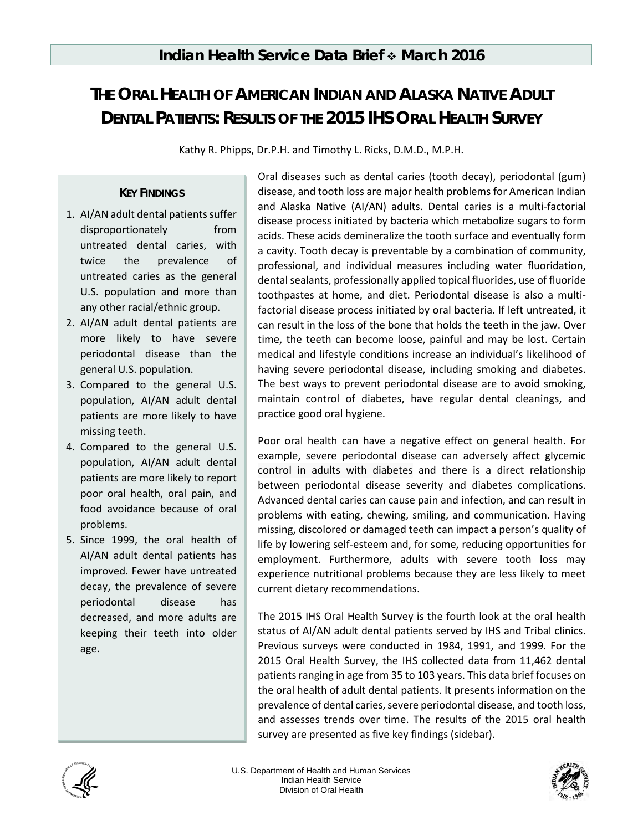# **THE ORAL HEALTH OF AMERICAN INDIAN AND ALASKA NATIVE ADULT DENTAL PATIENTS: RESULTS OF THE 2015 IHS ORAL HEALTH SURVEY**

Kathy R. Phipps, Dr.P.H. and Timothy L. Ricks, D.M.D., M.P.H.

## **KEY FINDINGS**

- 1. AI/AN adult dental patients suffer disproportionately from untreated dental caries, with twice the prevalence of untreated caries as the general U.S. population and more than any other racial/ethnic group.
- 2. AI/AN adult dental patients are more likely to have severe periodontal disease than the general U.S. population.
- 3. Compared to the general U.S. population, AI/AN adult dental patients are more likely to have missing teeth.
- 4. Compared to the general U.S. population, AI/AN adult dental patients are more likely to report poor oral health, oral pain, and food avoidance because of oral problems.
- 5. Since 1999, the oral health of AI/AN adult dental patients has improved. Fewer have untreated decay, the prevalence of severe periodontal disease has decreased, and more adults are keeping their teeth into older age.

Oral diseases such as dental caries (tooth decay), periodontal (gum) disease, and tooth loss are major health problems for American Indian and Alaska Native (AI/AN) adults. Dental caries is a multi-factorial disease process initiated by bacteria which metabolize sugars to form acids. These acids demineralize the tooth surface and eventually form a cavity. Tooth decay is preventable by a combination of community, professional, and individual measures including water fluoridation, dental sealants, professionally applied topical fluorides, use of fluoride toothpastes at home, and diet. Periodontal disease is also a multifactorial disease process initiated by oral bacteria. If left untreated, it can result in the loss of the bone that holds the teeth in the jaw. Over time, the teeth can become loose, painful and may be lost. Certain medical and lifestyle conditions increase an individual's likelihood of having severe periodontal disease, including smoking and diabetes. The best ways to prevent periodontal disease are to avoid smoking, maintain control of diabetes, have regular dental cleanings, and practice good oral hygiene.

Poor oral health can have a negative effect on general health. For example, severe periodontal disease can adversely affect glycemic control in adults with diabetes and there is a direct relationship between periodontal disease severity and diabetes complications. Advanced dental caries can cause pain and infection, and can result in problems with eating, chewing, smiling, and communication. Having missing, discolored or damaged teeth can impact a person's quality of life by lowering self-esteem and, for some, reducing opportunities for employment. Furthermore, adults with severe tooth loss may experience nutritional problems because they are less likely to meet current dietary recommendations.

The 2015 IHS Oral Health Survey is the fourth look at the oral health status of AI/AN adult dental patients served by IHS and Tribal clinics. Previous surveys were conducted in 1984, 1991, and 1999. For the 2015 Oral Health Survey, the IHS collected data from 11,462 dental patients ranging in age from 35 to 103 years. This data brief focuses on the oral health of adult dental patients. It presents information on the prevalence of dental caries, severe periodontal disease, and tooth loss, and assesses trends over time. The results of the 2015 oral health survey are presented as five key findings (sidebar).



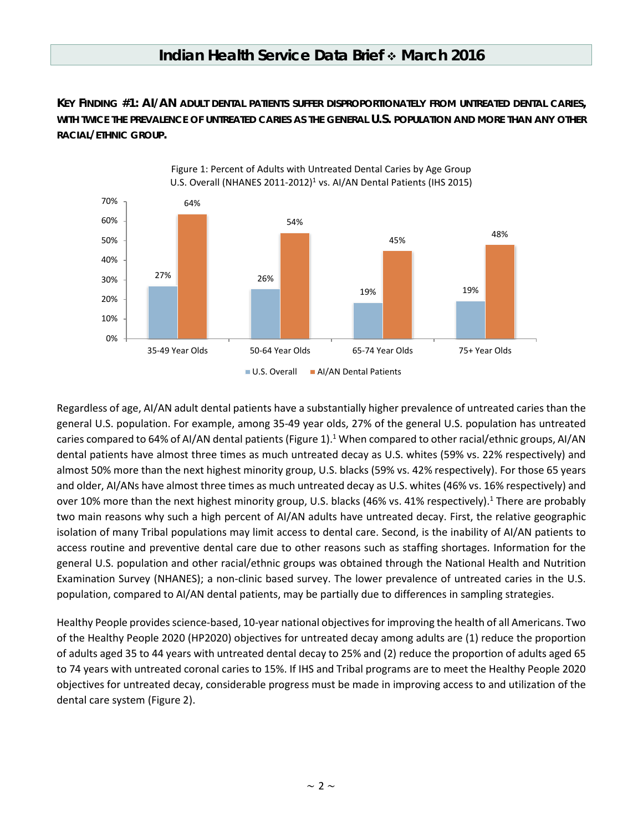**KEY FINDING #1: AI/AN ADULT DENTAL PATIENTS SUFFER DISPROPORTIONATELY FROM UNTREATED DENTAL CARIES, WITH TWICE THE PREVALENCE OF UNTREATED CARIES AS THE GENERAL U.S. POPULATION AND MORE THAN ANY OTHER RACIAL/ETHNIC GROUP.**



Regardless of age, AI/AN adult dental patients have a substantially higher prevalence of untreated caries than the general U.S. population. For example, among 35-49 year olds, 27% of the general U.S. population has untreated caries compared to 64% of AI/AN dental patients (Figure 1).<sup>1</sup> When compared to other racial/ethnic groups, AI/AN dental patients have almost three times as much untreated decay as U.S. whites (59% vs. 22% respectively) and almost 50% more than the next highest minority group, U.S. blacks (59% vs. 42% respectively). For those 65 years and older, AI/ANs have almost three times as much untreated decay as U.S. whites (46% vs. 16% respectively) and over 10% more than the next highest minority group, U.S. blacks (46% vs. 41% respectively).<sup>1</sup> There are probably two main reasons why such a high percent of AI/AN adults have untreated decay. First, the relative geographic isolation of many Tribal populations may limit access to dental care. Second, is the inability of AI/AN patients to access routine and preventive dental care due to other reasons such as staffing shortages. Information for the general U.S. population and other racial/ethnic groups was obtained through the National Health and Nutrition Examination Survey (NHANES); a non-clinic based survey. The lower prevalence of untreated caries in the U.S. population, compared to AI/AN dental patients, may be partially due to differences in sampling strategies.

Healthy People provides science-based, 10-year national objectives for improving the health of all Americans. Two of the Healthy People 2020 (HP2020) objectives for untreated decay among adults are (1) reduce the proportion of adults aged 35 to 44 years with untreated dental decay to 25% and (2) reduce the proportion of adults aged 65 to 74 years with untreated coronal caries to 15%. If IHS and Tribal programs are to meet the Healthy People 2020 objectives for untreated decay, considerable progress must be made in improving access to and utilization of the dental care system (Figure 2).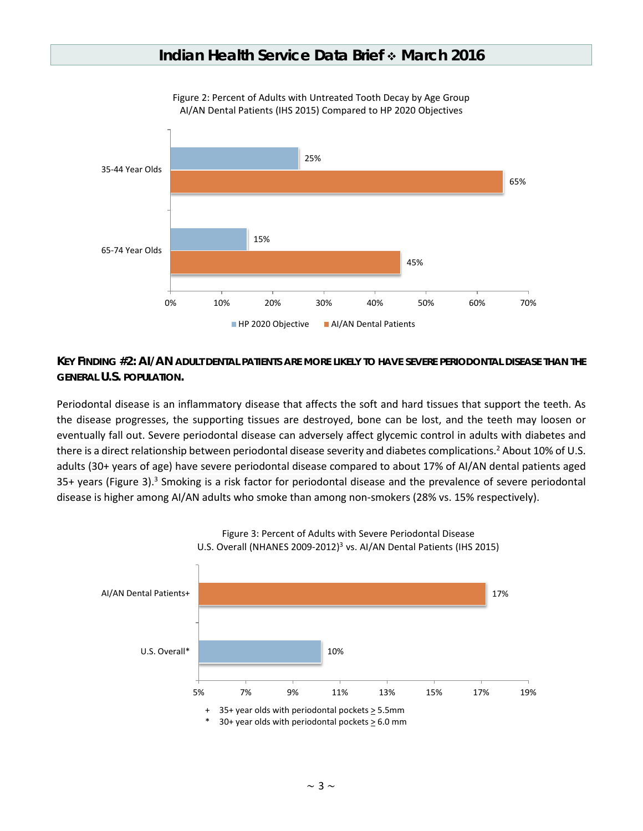

Figure 2: Percent of Adults with Untreated Tooth Decay by Age Group AI/AN Dental Patients (IHS 2015) Compared to HP 2020 Objectives

**KEY FINDING #2: AI/AN ADULT DENTAL PATIENTS ARE MORE LIKELY TO HAVE SEVERE PERIODONTAL DISEASE THAN THE GENERAL U.S. POPULATION.** 

Periodontal disease is an inflammatory disease that affects the soft and hard tissues that support the teeth. As the disease progresses, the supporting tissues are destroyed, bone can be lost, and the teeth may loosen or eventually fall out. Severe periodontal disease can adversely affect glycemic control in adults with diabetes and there is a direct relationship between periodontal disease severity and diabetes complications.<sup>2</sup> About 10% of U.S. adults (30+ years of age) have severe periodontal disease compared to about 17% of AI/AN dental patients aged  $35+$  years (Figure 3).<sup>3</sup> Smoking is a risk factor for periodontal disease and the prevalence of severe periodontal disease is higher among AI/AN adults who smoke than among non-smokers (28% vs. 15% respectively).

Figure 3: Percent of Adults with Severe Periodontal Disease

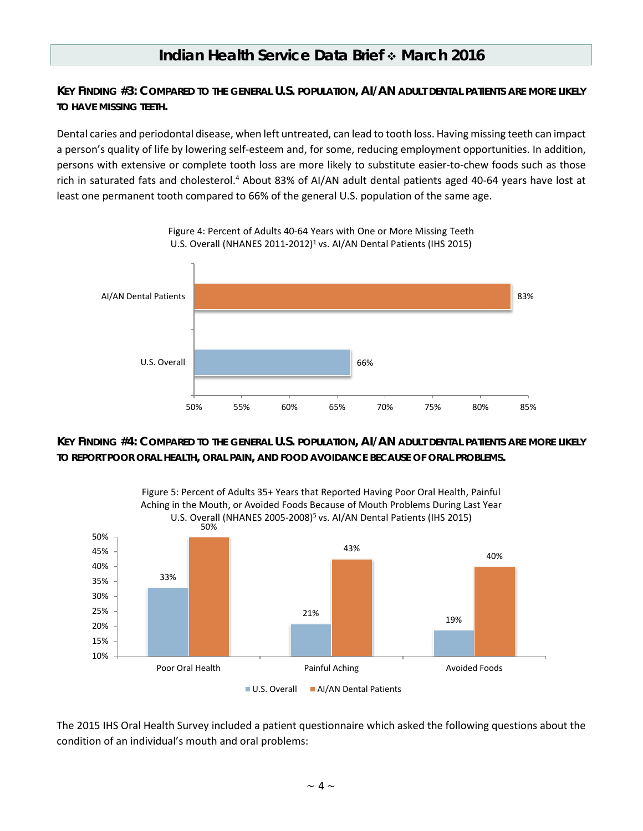**KEY FINDING #3: COMPARED TO THE GENERAL U.S. POPULATION, AI/AN ADULT DENTAL PATIENTS ARE MORE LIKELY TO HAVE MISSING TEETH.** 

Dental caries and periodontal disease, when left untreated, can lead to tooth loss. Having missing teeth can impact a person's quality of life by lowering self-esteem and, for some, reducing employment opportunities. In addition, persons with extensive or complete tooth loss are more likely to substitute easier-to-chew foods such as those rich in saturated fats and cholesterol.<sup>4</sup> About 83% of AI/AN adult dental patients aged 40-64 years have lost at least one permanent tooth compared to 66% of the general U.S. population of the same age.



Figure 4: Percent of Adults 40-64 Years with One or More Missing Teeth U.S. Overall (NHANES 2011-2012)<sup>1</sup> vs. AI/AN Dental Patients (IHS 2015)

**KEY FINDING #4: COMPARED TO THE GENERAL U.S. POPULATION, AI/AN ADULT DENTAL PATIENTS ARE MORE LIKELY TO REPORT POOR ORAL HEALTH, ORAL PAIN, AND FOOD AVOIDANCE BECAUSE OF ORAL PROBLEMS.** 



The 2015 IHS Oral Health Survey included a patient questionnaire which asked the following questions about the condition of an individual's mouth and oral problems: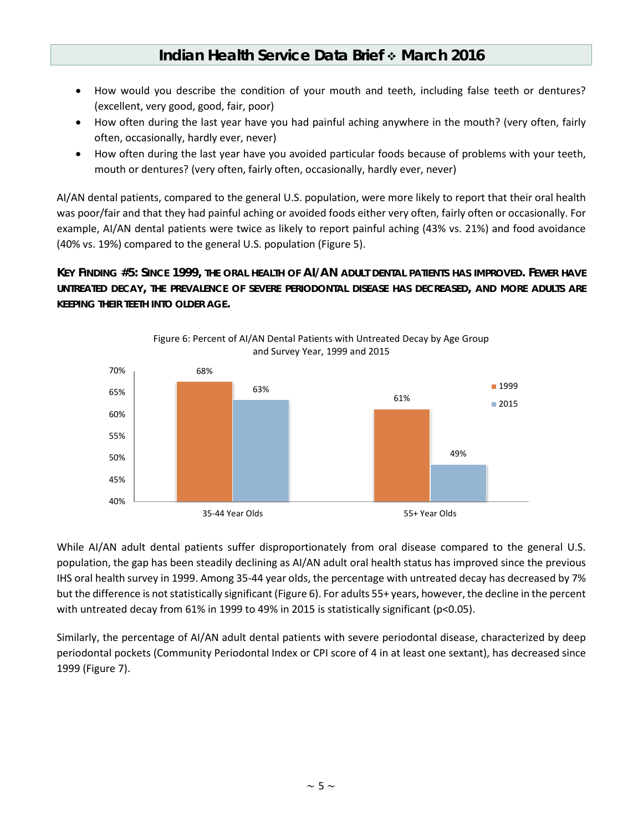- How would you describe the condition of your mouth and teeth, including false teeth or dentures? (excellent, very good, good, fair, poor)
- How often during the last year have you had painful aching anywhere in the mouth? (very often, fairly often, occasionally, hardly ever, never)
- How often during the last year have you avoided particular foods because of problems with your teeth, mouth or dentures? (very often, fairly often, occasionally, hardly ever, never)

AI/AN dental patients, compared to the general U.S. population, were more likely to report that their oral health was poor/fair and that they had painful aching or avoided foods either very often, fairly often or occasionally. For example, AI/AN dental patients were twice as likely to report painful aching (43% vs. 21%) and food avoidance (40% vs. 19%) compared to the general U.S. population (Figure 5).

**KEY FINDING #5: SINCE 1999, THE ORAL HEALTH OF AI/AN ADULT DENTAL PATIENTS HAS IMPROVED. FEWER HAVE UNTREATED DECAY, THE PREVALENCE OF SEVERE PERIODONTAL DISEASE HAS DECREASED, AND MORE ADULTS ARE KEEPING THEIR TEETH INTO OLDER AGE.** 



While AI/AN adult dental patients suffer disproportionately from oral disease compared to the general U.S. population, the gap has been steadily declining as AI/AN adult oral health status has improved since the previous IHS oral health survey in 1999. Among 35-44 year olds, the percentage with untreated decay has decreased by 7% but the difference is not statistically significant (Figure 6). For adults 55+ years, however, the decline in the percent with untreated decay from 61% in 1999 to 49% in 2015 is statistically significant (p<0.05).

Similarly, the percentage of AI/AN adult dental patients with severe periodontal disease, characterized by deep periodontal pockets (Community Periodontal Index or CPI score of 4 in at least one sextant), has decreased since 1999 (Figure 7).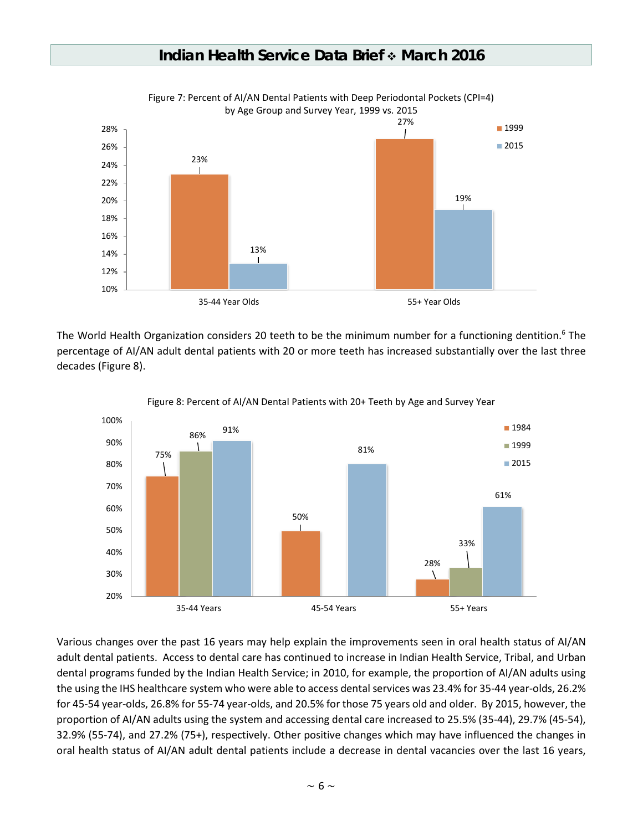![](_page_5_Figure_1.jpeg)

Figure 7: Percent of AI/AN Dental Patients with Deep Periodontal Pockets (CPI=4) by Age Group and Survey Year, 1999 vs. 2015

The World Health Organization considers 20 teeth to be the minimum number for a functioning dentition.<sup>6</sup> The percentage of AI/AN adult dental patients with 20 or more teeth has increased substantially over the last three decades (Figure 8).

![](_page_5_Figure_4.jpeg)

Figure 8: Percent of AI/AN Dental Patients with 20+ Teeth by Age and Survey Year

Various changes over the past 16 years may help explain the improvements seen in oral health status of AI/AN adult dental patients. Access to dental care has continued to increase in Indian Health Service, Tribal, and Urban dental programs funded by the Indian Health Service; in 2010, for example, the proportion of AI/AN adults using the using the IHS healthcare system who were able to access dental services was 23.4% for 35-44 year-olds, 26.2% for 45-54 year-olds, 26.8% for 55-74 year-olds, and 20.5% for those 75 years old and older. By 2015, however, the proportion of AI/AN adults using the system and accessing dental care increased to 25.5% (35-44), 29.7% (45-54), 32.9% (55-74), and 27.2% (75+), respectively. Other positive changes which may have influenced the changes in oral health status of AI/AN adult dental patients include a decrease in dental vacancies over the last 16 years,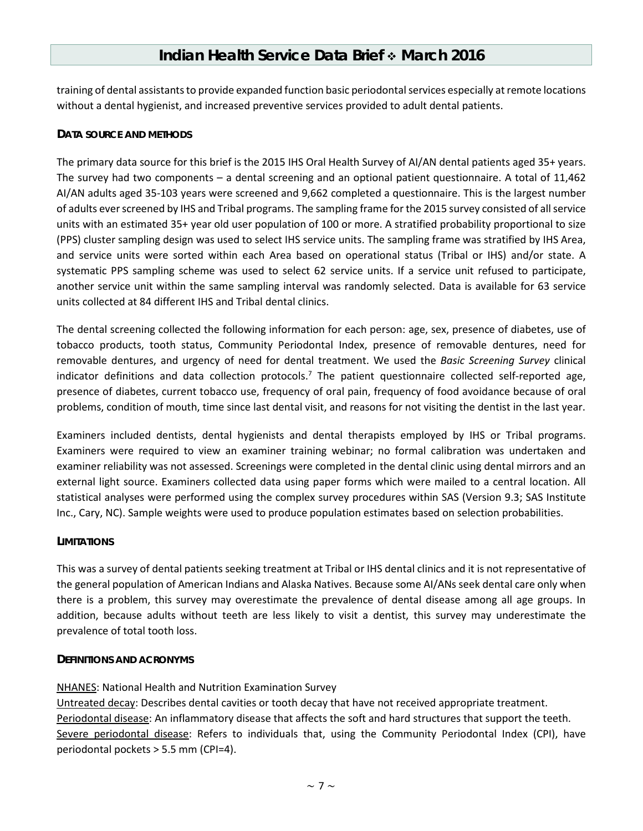training of dental assistants to provide expanded function basic periodontal services especially at remote locations without a dental hygienist, and increased preventive services provided to adult dental patients.

### **DATA SOURCE AND METHODS**

The primary data source for this brief is the 2015 IHS Oral Health Survey of AI/AN dental patients aged 35+ years. The survey had two components – a dental screening and an optional patient questionnaire. A total of 11,462 AI/AN adults aged 35-103 years were screened and 9,662 completed a questionnaire. This is the largest number of adults ever screened by IHS and Tribal programs. The sampling frame for the 2015 survey consisted of all service units with an estimated 35+ year old user population of 100 or more. A stratified probability proportional to size (PPS) cluster sampling design was used to select IHS service units. The sampling frame was stratified by IHS Area, and service units were sorted within each Area based on operational status (Tribal or IHS) and/or state. A systematic PPS sampling scheme was used to select 62 service units. If a service unit refused to participate, another service unit within the same sampling interval was randomly selected. Data is available for 63 service units collected at 84 different IHS and Tribal dental clinics.

The dental screening collected the following information for each person: age, sex, presence of diabetes, use of tobacco products, tooth status, Community Periodontal Index, presence of removable dentures, need for removable dentures, and urgency of need for dental treatment. We used the *Basic Screening Survey* clinical indicator definitions and data collection protocols.<sup>7</sup> The patient questionnaire collected self-reported age, presence of diabetes, current tobacco use, frequency of oral pain, frequency of food avoidance because of oral problems, condition of mouth, time since last dental visit, and reasons for not visiting the dentist in the last year.

Examiners included dentists, dental hygienists and dental therapists employed by IHS or Tribal programs. Examiners were required to view an examiner training webinar; no formal calibration was undertaken and examiner reliability was not assessed. Screenings were completed in the dental clinic using dental mirrors and an external light source. Examiners collected data using paper forms which were mailed to a central location. All statistical analyses were performed using the complex survey procedures within SAS (Version 9.3; SAS Institute Inc., Cary, NC). Sample weights were used to produce population estimates based on selection probabilities.

### **LIMITATIONS**

This was a survey of dental patients seeking treatment at Tribal or IHS dental clinics and it is not representative of the general population of American Indians and Alaska Natives. Because some AI/ANs seek dental care only when there is a problem, this survey may overestimate the prevalence of dental disease among all age groups. In addition, because adults without teeth are less likely to visit a dentist, this survey may underestimate the prevalence of total tooth loss.

### **DEFINITIONS AND ACRONYMS**

NHANES: National Health and Nutrition Examination Survey

Untreated decay: Describes dental cavities or tooth decay that have not received appropriate treatment. Periodontal disease: An inflammatory disease that affects the soft and hard structures that support the teeth. Severe periodontal disease: Refers to individuals that, using the Community Periodontal Index (CPI), have periodontal pockets > 5.5 mm (CPI=4).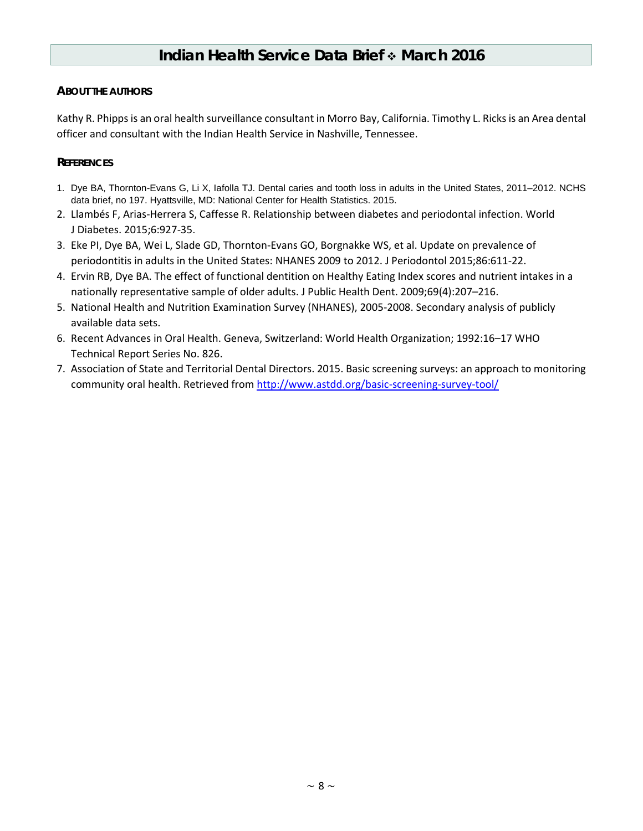### **ABOUT THE AUTHORS**

Kathy R. Phipps is an oral health surveillance consultant in Morro Bay, California. Timothy L. Ricks is an Area dental officer and consultant with the Indian Health Service in Nashville, Tennessee.

### **REFERENCES**

- 1. Dye BA, Thornton-Evans G, Li X, Iafolla TJ. Dental caries and tooth loss in adults in the United States, 2011–2012. NCHS data brief, no 197. Hyattsville, MD: National Center for Health Statistics. 2015.
- 2. Llambés F, Arias-Herrera S, Caffesse R. Relationship between diabetes and periodontal infection. World J Diabetes. 2015;6:927-35.
- 3. Eke PI, Dye BA, Wei L, Slade GD, Thornton-Evans GO, Borgnakke WS, et al. Update on prevalence of periodontitis in adults in the United States: NHANES 2009 to 2012. [J Periodontol](http://www.ncbi.nlm.nih.gov/pubmed/25688694) 2015;86:611-22.
- 4. Ervin RB, Dye BA. The effect of functional dentition on Healthy Eating Index scores and nutrient intakes in a nationally representative sample of older adults. J Public Health Dent. 2009;69(4):207–216.
- 5. National Health and Nutrition Examination Survey (NHANES), 2005-2008. Secondary analysis of publicly available data sets.
- 6. Recent Advances in Oral Health. Geneva, Switzerland: World Health Organization; 1992:16–17 WHO Technical Report Series No. 826.
- 7. Association of State and Territorial Dental Directors. 2015. Basic screening surveys: an approach to monitoring community oral health. Retrieved from <http://www.astdd.org/basic-screening-survey-tool/>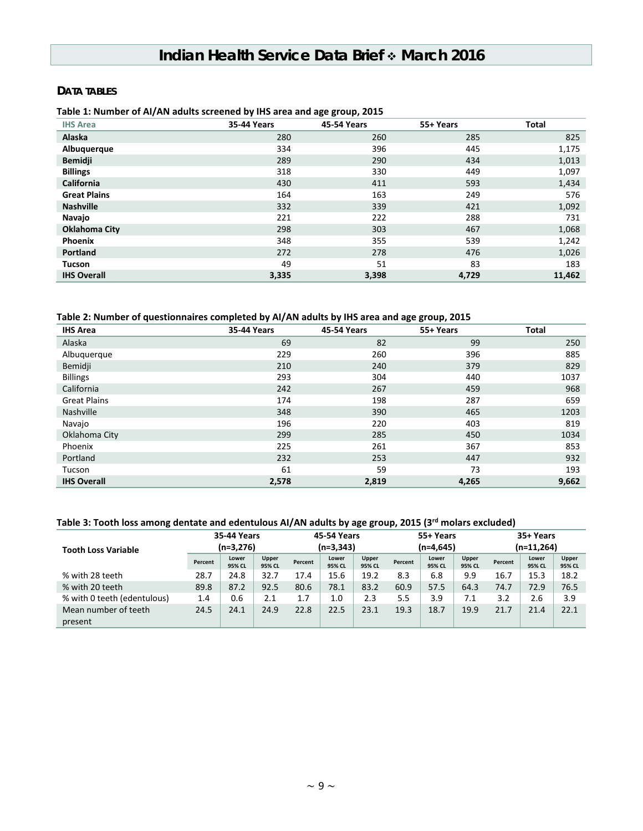### **DATA TABLES**

### **Table 1: Number of AI/AN adults screened by IHS area and age group, 2015**

| <b>IHS Area</b>      | <b>35-44 Years</b> | ັັ<br>.<br><b>45-54 Years</b> | 55+ Years | <b>Total</b> |
|----------------------|--------------------|-------------------------------|-----------|--------------|
| Alaska               | 280                | 260                           | 285       | 825          |
| Albuquerque          | 334                | 396                           | 445       | 1,175        |
| Bemidji              | 289                | 290                           | 434       | 1,013        |
| <b>Billings</b>      | 318                | 330                           | 449       | 1,097        |
| <b>California</b>    | 430                | 411                           | 593       | 1,434        |
| <b>Great Plains</b>  | 164                | 163                           | 249       | 576          |
| <b>Nashville</b>     | 332                | 339                           | 421       | 1,092        |
| Navajo               | 221                | 222                           | 288       | 731          |
| <b>Oklahoma City</b> | 298                | 303                           | 467       | 1,068        |
| <b>Phoenix</b>       | 348                | 355                           | 539       | 1,242        |
| <b>Portland</b>      | 272                | 278                           | 476       | 1,026        |
| Tucson               | 49                 | 51                            | 83        | 183          |
| <b>IHS Overall</b>   | 3,335              | 3,398                         | 4,729     | 11,462       |

#### **Table 2: Number of questionnaires completed by AI/AN adults by IHS area and age group, 2015**

| <b>IHS Area</b>     | <b>35-44 Years</b> | <b>45-54 Years</b> | 55+ Years | <b>Total</b> |
|---------------------|--------------------|--------------------|-----------|--------------|
| Alaska              | 69                 | 82                 | 99        | 250          |
| Albuquerque         | 229                | 260                | 396       | 885          |
| Bemidji             | 210                | 240                | 379       | 829          |
| <b>Billings</b>     | 293                | 304                | 440       | 1037         |
| California          | 242                | 267                | 459       | 968          |
| <b>Great Plains</b> | 174                | 198                | 287       | 659          |
| Nashville           | 348                | 390                | 465       | 1203         |
| Navajo              | 196                | 220                | 403       | 819          |
| Oklahoma City       | 299                | 285                | 450       | 1034         |
| Phoenix             | 225                | 261                | 367       | 853          |
| Portland            | 232                | 253                | 447       | 932          |
| Tucson              | 61                 | 59                 | 73        | 193          |
| <b>IHS Overall</b>  | 2,578              | 2,819              | 4,265     | 9,662        |

## **Table 3: Tooth loss among dentate and edentulous AI/AN adults by age group, 2015 (3rd molars excluded)**

|                             | 35-44 Years |                 |                 | <b>45-54 Years</b> |                 |                 | 55+ Years   |                 |                 | 35+ Years    |                 |                 |
|-----------------------------|-------------|-----------------|-----------------|--------------------|-----------------|-----------------|-------------|-----------------|-----------------|--------------|-----------------|-----------------|
| <b>Tooth Loss Variable</b>  | $(n=3,276)$ |                 |                 | $(n=3,343)$        |                 |                 | $(n=4,645)$ |                 |                 | $(n=11,264)$ |                 |                 |
|                             | Percent     | Lower<br>95% CL | Upper<br>95% CL | Percent            | Lower<br>95% CL | Upper<br>95% CL | Percent     | Lower<br>95% CL | Upper<br>95% CL | Percent      | Lower<br>95% CL | Upper<br>95% CL |
| % with 28 teeth             | 28.7        | 24.8            | 32.7            | 17.4               | 15.6            | 19.2            | 8.3         | 6.8             | 9.9             | 16.7         | 15.3            | 18.2            |
| % with 20 teeth             | 89.8        | 87.2            | 92.5            | 80.6               | 78.1            | 83.2            | 60.9        | 57.5            | 64.3            | 74.7         | 72.9            | 76.5            |
| % with 0 teeth (edentulous) | 1.4         | 0.6             | 2.1             | 1.7                | 1.0             | 2.3             | 5.5         | 3.9             | 7.1             | 3.2          | 2.6             | 3.9             |
| Mean number of teeth        | 24.5        | 24.1            | 24.9            | 22.8               | 22.5            | 23.1            | 19.3        | 18.7            | 19.9            | 21.7         | 21.4            | 22.1            |
| present                     |             |                 |                 |                    |                 |                 |             |                 |                 |              |                 |                 |